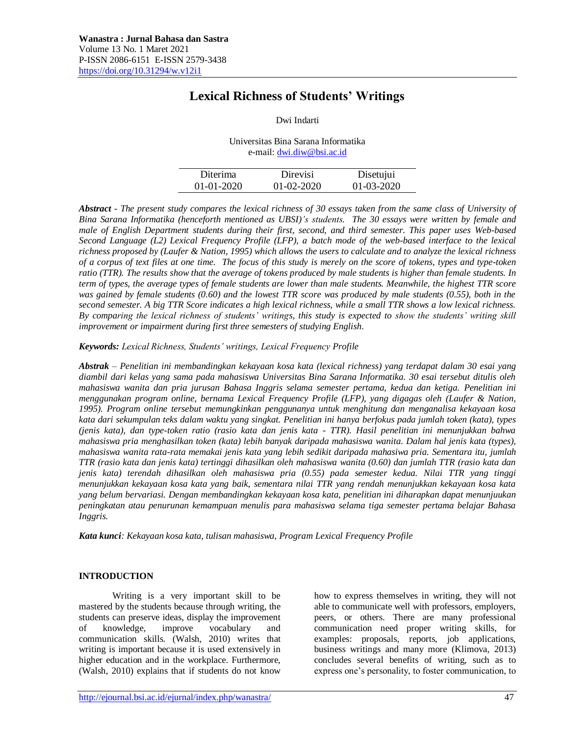# **Lexical Richness of Students' Writings**

Dwi Indarti

| Universitas Bina Sarana Informatika |
|-------------------------------------|
| e-mail: dwi.diw@bsi.ac.id           |

| Diterima     | Direvisi     | Disetujui        |
|--------------|--------------|------------------|
| $01-01-2020$ | $01-02-2020$ | $01 - 03 - 2020$ |

*Abstract - The present study compares the lexical richness of 30 essays taken from the same class of University of Bina Sarana Informatika (henceforth mentioned as UBSI)'s students. The 30 essays were written by female and male of English Department students during their first, second, and third semester. This paper uses Web-based Second Language (L2) Lexical Frequency Profile (LFP), a batch mode of the web-based interface to the lexical richness proposed by (Laufer & Nation, 1995) which allows the users to calculate and to analyze the lexical richness of a corpus of text files at one time. The focus of this study is merely on the score of tokens, types and type-token ratio (TTR). The results show that the average of tokens produced by male students is higher than female students. In term of types, the average types of female students are lower than male students. Meanwhile, the highest TTR score was gained by female students (0.60) and the lowest TTR score was produced by male students (0.55), both in the second semester. A big TTR Score indicates a high lexical richness, while a small TTR shows a low lexical richness. By comparing the lexical richness of students' writings, this study is expected to show the students' writing skill improvement or impairment during first three semesters of studying English.* 

*Keywords: Lexical Richness, Students' writings, Lexical Frequency Profile*

*Abstrak – Penelitian ini membandingkan kekayaan kosa kata (lexical richness) yang terdapat dalam 30 esai yang diambil dari kelas yang sama pada mahasiswa Universitas Bina Sarana Informatika. 30 esai tersebut ditulis oleh mahasiswa wanita dan pria jurusan Bahasa Inggris selama semester pertama, kedua dan ketiga. Penelitian ini menggunakan program online, bernama Lexical Frequency Profile (LFP), yang digagas oleh (Laufer & Nation, 1995). Program online tersebut memungkinkan penggunanya untuk menghitung dan menganalisa kekayaan kosa kata dari sekumpulan teks dalam waktu yang singkat. Penelitian ini hanya berfokus pada jumlah token (kata), types (jenis kata), dan type-token ratio (rasio kata dan jenis kata - TTR). Hasil penelitian ini menunjukkan bahwa mahasiswa pria menghasilkan token (kata) lebih banyak daripada mahasiswa wanita. Dalam hal jenis kata (types), mahasiswa wanita rata-rata memakai jenis kata yang lebih sedikit daripada mahasiwa pria. Sementara itu, jumlah TTR (rasio kata dan jenis kata) tertinggi dihasilkan oleh mahasiswa wanita (0.60) dan jumlah TTR (rasio kata dan jenis kata) terendah dihasilkan oleh mahasiswa pria (0.55) pada semester kedua. Nilai TTR yang tinggi menunjukkan kekayaan kosa kata yang baik, sementara nilai TTR yang rendah menunjukkan kekayaan kosa kata yang belum bervariasi. Dengan membandingkan kekayaan kosa kata, penelitian ini diharapkan dapat menunjuukan peningkatan atau penurunan kemampuan menulis para mahasiswa selama tiga semester pertama belajar Bahasa Inggris.* 

*Kata kunci: Kekayaan kosa kata, tulisan mahasiswa, Program Lexical Frequency Profile*

# **INTRODUCTION**

Writing is a very important skill to be mastered by the students because through writing, the students can preserve ideas, display the improvement of knowledge, improve vocabulary and communication skills. (Walsh, 2010) writes that writing is important because it is used extensively in higher education and in the workplace. Furthermore, (Walsh, 2010) explains that if students do not know

how to express themselves in writing, they will not able to communicate well with professors, employers, peers, or others. There are many professional communication need proper writing skills, for examples: proposals, reports, job applications, business writings and many more (Klimova, 2013) concludes several benefits of writing, such as to express one's personality, to foster communication, to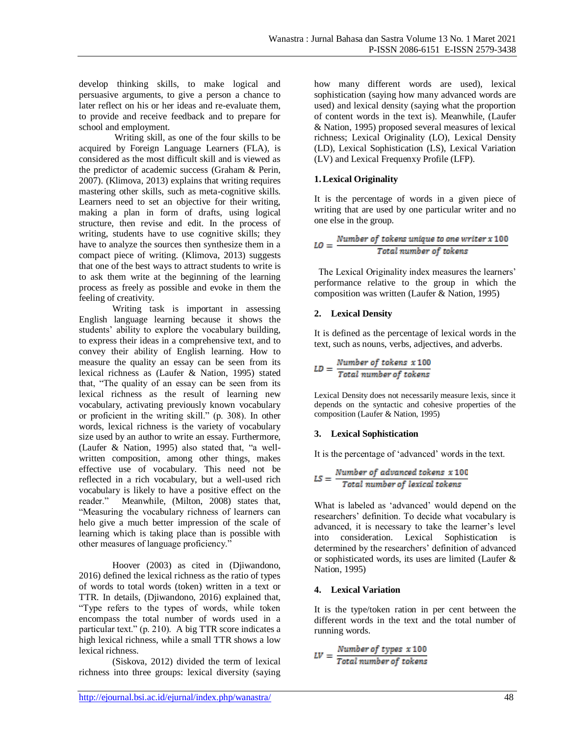develop thinking skills, to make logical and persuasive arguments, to give a person a chance to later reflect on his or her ideas and re-evaluate them, to provide and receive feedback and to prepare for school and employment.

Writing skill, as one of the four skills to be acquired by Foreign Language Learners (FLA), is considered as the most difficult skill and is viewed as the predictor of academic success (Graham & Perin, 2007). (Klimova, 2013) explains that writing requires mastering other skills, such as meta-cognitive skills. Learners need to set an objective for their writing, making a plan in form of drafts, using logical structure, then revise and edit. In the process of writing, students have to use cognitive skills; they have to analyze the sources then synthesize them in a compact piece of writing. (Klimova, 2013) suggests that one of the best ways to attract students to write is to ask them write at the beginning of the learning process as freely as possible and evoke in them the feeling of creativity.

Writing task is important in assessing English language learning because it shows the students' ability to explore the vocabulary building, to express their ideas in a comprehensive text, and to convey their ability of English learning. How to measure the quality an essay can be seen from its lexical richness as (Laufer & Nation, 1995) stated that, "The quality of an essay can be seen from its lexical richness as the result of learning new vocabulary, activating previously known vocabulary or proficient in the writing skill." (p. 308). In other words, lexical richness is the variety of vocabulary size used by an author to write an essay. Furthermore, (Laufer & Nation, 1995) also stated that, "a wellwritten composition, among other things, makes effective use of vocabulary. This need not be reflected in a rich vocabulary, but a well-used rich vocabulary is likely to have a positive effect on the reader." Meanwhile, (Milton, 2008) states that, "Measuring the vocabulary richness of learners can helo give a much better impression of the scale of learning which is taking place than is possible with other measures of language proficiency."

Hoover (2003) as cited in (Djiwandono, 2016) defined the lexical richness as the ratio of types of words to total words (token) written in a text or TTR. In details, (Djiwandono, 2016) explained that, "Type refers to the types of words, while token encompass the total number of words used in a particular text." (p. 210). A big TTR score indicates a high lexical richness, while a small TTR shows a low lexical richness.

(Siskova, 2012) divided the term of lexical richness into three groups: lexical diversity (saying how many different words are used), lexical sophistication (saying how many advanced words are used) and lexical density (saying what the proportion of content words in the text is). Meanwhile, (Laufer & Nation, 1995) proposed several measures of lexical richness; Lexical Originality (LO), Lexical Density (LD), Lexical Sophistication (LS), Lexical Variation (LV) and Lexical Frequenxy Profile (LFP).

# **1.Lexical Originality**

It is the percentage of words in a given piece of writing that are used by one particular writer and no one else in the group.

$$
LO = \frac{Number\ of\ tokens\ unique\ to\ one\ writer\ x\ 100}{Total\ number\ of\ tokens}
$$

The Lexical Originality index measures the learners' performance relative to the group in which the composition was written (Laufer & Nation, 1995)

# **2. Lexical Density**

It is defined as the percentage of lexical words in the text, such as nouns, verbs, adjectives, and adverbs.

$$
LD = \frac{Number\ of\ tokens\ x\ 100}{Total\ number\ of\ tokens}
$$

Lexical Density does not necessarily measure lexis, since it depends on the syntactic and cohesive properties of the composition (Laufer & Nation, 1995)

# **3. Lexical Sophistication**

It is the percentage of 'advanced' words in the text.

$$
LS = \frac{Number\ of\ advanced\ tokens\ x\ 100}{Total\ number\ of\ lexical\ tokens}
$$

What is labeled as 'advanced' would depend on the researchers' definition. To decide what vocabulary is advanced, it is necessary to take the learner's level into consideration. Lexical Sophistication is determined by the researchers' definition of advanced or sophisticated words, its uses are limited (Laufer & Nation, 1995)

# **4. Lexical Variation**

It is the type/token ration in per cent between the different words in the text and the total number of running words.

$$
LV = \frac{Number\ of\ types\ x\ 100}{Total\ number\ of\ tokens}
$$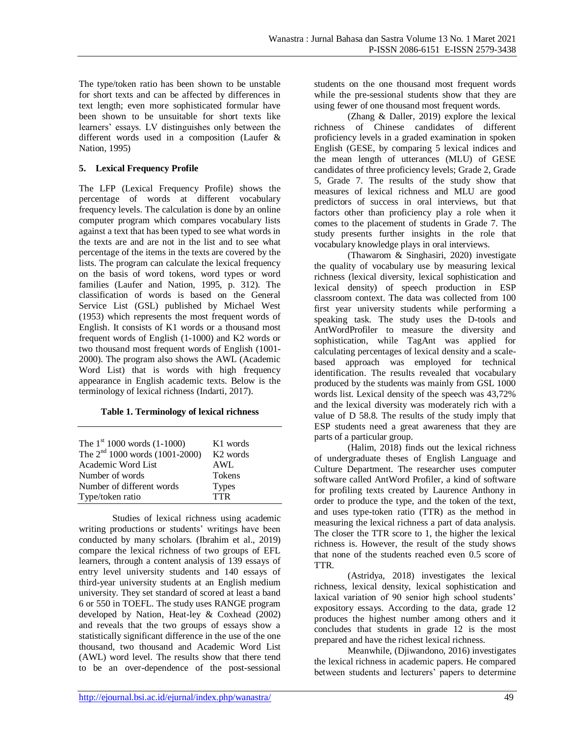The type/token ratio has been shown to be unstable for short texts and can be affected by differences in text length; even more sophisticated formular have been shown to be unsuitable for short texts like learners' essays. LV distinguishes only between the different words used in a composition (Laufer & Nation, 1995)

# **5. Lexical Frequency Profile**

The LFP (Lexical Frequency Profile) shows the percentage of words at different vocabulary frequency levels. The calculation is done by an online computer program which compares vocabulary lists against a text that has been typed to see what words in the texts are and are not in the list and to see what percentage of the items in the texts are covered by the lists. The program can calculate the lexical frequency on the basis of word tokens, word types or word families (Laufer and Nation, 1995, p. 312). The classification of words is based on the General Service List (GSL) published by Michael West (1953) which represents the most frequent words of English. It consists of K1 words or a thousand most frequent words of English (1-1000) and K2 words or two thousand most frequent words of English (1001- 2000). The program also shows the AWL (Academic Word List) that is words with high frequency appearance in English academic texts. Below is the terminology of lexical richness (Indarti, 2017).

#### **Table 1. Terminology of lexical richness**

| The $1st 1000$ words (1-1000)    | K1 words             |
|----------------------------------|----------------------|
| The $2nd 1000$ words (1001-2000) | K <sub>2</sub> words |
| Academic Word List               | <b>AWL</b>           |
| Number of words                  | <b>Tokens</b>        |
| Number of different words        | <b>Types</b>         |
| Type/token ratio                 | <b>TTR</b>           |

Studies of lexical richness using academic writing productions or students' writings have been conducted by many scholars. (Ibrahim et al., 2019) compare the lexical richness of two groups of EFL learners, through a content analysis of 139 essays of entry level university students and 140 essays of third-year university students at an English medium university. They set standard of scored at least a band 6 or 550 in TOEFL. The study uses RANGE program developed by Nation, Heat-ley & Coxhead (2002) and reveals that the two groups of essays show a statistically significant difference in the use of the one thousand, two thousand and Academic Word List (AWL) word level. The results show that there tend to be an over-dependence of the post-sessional students on the one thousand most frequent words while the pre-sessional students show that they are using fewer of one thousand most frequent words.

(Zhang & Daller, 2019) explore the lexical richness of Chinese candidates of different proficiency levels in a graded examination in spoken English (GESE, by comparing 5 lexical indices and the mean length of utterances (MLU) of GESE candidates of three proficiency levels; Grade 2, Grade 5, Grade 7. The results of the study show that measures of lexical richness and MLU are good predictors of success in oral interviews, but that factors other than proficiency play a role when it comes to the placement of students in Grade 7. The study presents further insights in the role that vocabulary knowledge plays in oral interviews.

(Thawarom & Singhasiri, 2020) investigate the quality of vocabulary use by measuring lexical richness (lexical diversity, lexical sophistication and lexical density) of speech production in ESP classroom context. The data was collected from 100 first year university students while performing a speaking task. The study uses the D-tools and AntWordProfiler to measure the diversity and sophistication, while TagAnt was applied for calculating percentages of lexical density and a scalebased approach was employed for technical identification. The results revealed that vocabulary produced by the students was mainly from GSL 1000 words list. Lexical density of the speech was 43,72% and the lexical diversity was moderately rich with a value of D 58.8. The results of the study imply that ESP students need a great awareness that they are parts of a particular group.

(Halim, 2018) finds out the lexical richness of undergraduate theses of English Language and Culture Department. The researcher uses computer software called AntWord Profiler, a kind of software for profiling texts created by Laurence Anthony in order to produce the type, and the token of the text, and uses type-token ratio (TTR) as the method in measuring the lexical richness a part of data analysis. The closer the TTR score to 1, the higher the lexical richness is. However, the result of the study shows that none of the students reached even 0.5 score of **TTR** 

(Astridya, 2018) investigates the lexical richness, lexical density, lexical sophistication and laxical variation of 90 senior high school students' expository essays. According to the data, grade 12 produces the highest number among others and it concludes that students in grade 12 is the most prepared and have the richest lexical richness.

Meanwhile, (Djiwandono, 2016) investigates the lexical richness in academic papers. He compared between students and lecturers' papers to determine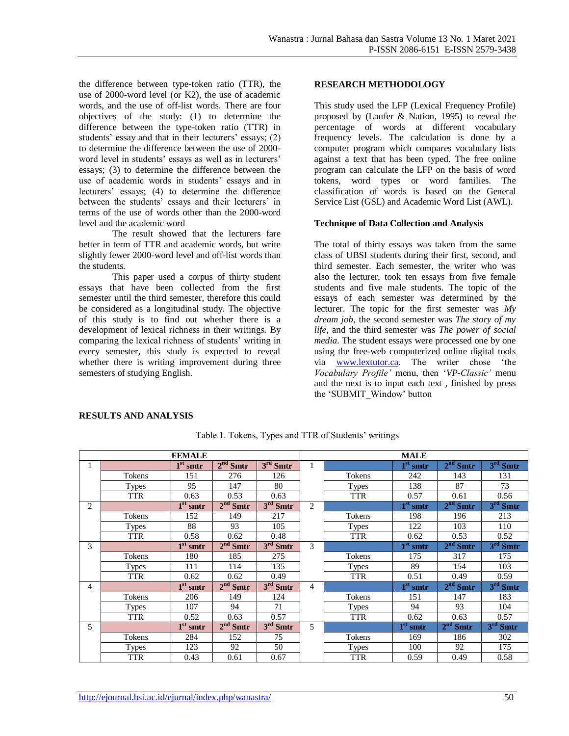the difference between type-token ratio (TTR), the use of 2000-word level (or K2), the use of academic words, and the use of off-list words. There are four objectives of the study: (1) to determine the difference between the type-token ratio (TTR) in students' essay and that in their lecturers' essays; (2) to determine the difference between the use of 2000 word level in students' essays as well as in lecturers' essays; (3) to determine the difference between the use of academic words in students' essays and in lecturers' essays; (4) to determine the difference between the students' essays and their lecturers' in terms of the use of words other than the 2000-word level and the academic word

The result showed that the lecturers fare better in term of TTR and academic words, but write slightly fewer 2000-word level and off-list words than the students.

This paper used a corpus of thirty student essays that have been collected from the first semester until the third semester, therefore this could be considered as a longitudinal study. The objective of this study is to find out whether there is a development of lexical richness in their writings. By comparing the lexical richness of students' writing in every semester, this study is expected to reveal whether there is writing improvement during three semesters of studying English.

### **RESEARCH METHODOLOGY**

This study used the LFP (Lexical Frequency Profile) proposed by (Laufer & Nation, 1995) to reveal the percentage of words at different vocabulary frequency levels. The calculation is done by a computer program which compares vocabulary lists against a text that has been typed. The free online program can calculate the LFP on the basis of word tokens, word types or word families. The classification of words is based on the General Service List (GSL) and Academic Word List (AWL).

#### **Technique of Data Collection and Analysis**

The total of thirty essays was taken from the same class of UBSI students during their first, second, and third semester. Each semester, the writer who was also the lecturer, took ten essays from five female students and five male students. The topic of the essays of each semester was determined by the lecturer. The topic for the first semester was *My dream job*, the second semester was *The story of my life*, and the third semester was *The power of social media*. The student essays were processed one by one using the free-web computerized online digital tools via [www.lextutor.ca.](http://www.lextutor.ca/) The writer chose 'the *Vocabulary Profile'* menu, then '*VP-Classic'* menu and the next is to input each text , finished by press the 'SUBMIT\_Window' button

#### **RESULTS AND ANALYSIS**

|                |              | <b>FEMALE</b>                |            |                                |   |              | <b>MALE</b>                  |                                |            |
|----------------|--------------|------------------------------|------------|--------------------------------|---|--------------|------------------------------|--------------------------------|------------|
|                |              | $\overline{1}^{\rm st}$ smtr | $2nd$ Smtr | $3rd$ Smtr                     |   |              | $1st$ smtr                   | $2nd$ Smtr                     | $3rd$ Smtr |
|                | Tokens       | 151                          | 276        | 126                            |   | Tokens       | 242                          | 143                            | 131        |
|                | <b>Types</b> | 95                           | 147        | 80                             |   | <b>Types</b> | 138                          | 87                             | 73         |
|                | <b>TTR</b>   | 0.63                         | 0.53       | 0.63                           |   | <b>TTR</b>   | 0.57                         | 0.61                           | 0.56       |
| $\overline{c}$ |              | $1st$ smtr                   | $2nd$ Smtr | $3rd$ Smtr                     | 2 |              | $1st$ smtr                   | $2^{nd}$<br><b>Smtr</b>        | $3rd$ Smtr |
|                | Tokens       | 152                          | 149        | 217                            |   | Tokens       | 198                          | 196                            | 213        |
|                | Types        | 88                           | 93         | 105                            |   | <b>Types</b> | 122                          | 103                            | 110        |
|                | <b>TTR</b>   | 0.58                         | 0.62       | 0.48                           |   | <b>TTR</b>   | 0.62                         | 0.53                           | 0.52       |
| 3              |              | $1st$ smtr                   | $2nd$ Smtr | 3 <sup>rd</sup><br><b>Smtr</b> | 3 |              | $\overline{1}^{\rm st}$ smtr | 2 <sup>nd</sup><br>Smtr        | $3rd$ Smtr |
|                | Tokens       | 180                          | 185        | 275                            |   | Tokens       | 175                          | 317                            | 175        |
|                | Types        | 111                          | 114        | 135                            |   | <b>Types</b> | 89                           | 154                            | 103        |
|                | <b>TTR</b>   | 0.62                         | 0.62       | 0.49                           |   | <b>TTR</b>   | 0.51                         | 0.49                           | 0.59       |
| 4              |              | $\overline{1}^{\rm st}$ smtr | $2nd$ Smtr | $3rd$ Smtr                     | 4 |              | $1st$ smtr                   | 2 <sup>nd</sup><br><b>Smtr</b> | $3rd$ Smtr |
|                | Tokens       | 206                          | 149        | 124                            |   | Tokens       | 151                          | 147                            | 183        |
|                | <b>Types</b> | 107                          | 94         | 71                             |   | <b>Types</b> | 94                           | 93                             | 104        |
|                | <b>TTR</b>   | 0.52                         | 0.63       | 0.57                           |   | <b>TTR</b>   | 0.62                         | 0.63                           | 0.57       |
| 5              |              | $1st$ smtr                   | $2nd$ Smtr | 3 <sup>rd</sup><br><b>Smtr</b> | 5 |              | $1st$ smtr                   | $2nd$ Smtr                     | $3rd$ Smtr |
|                | Tokens       | 284                          | 152        | 75                             |   | Tokens       | 169                          | 186                            | 302        |
|                | <b>Types</b> | 123                          | 92         | 50                             |   | <b>Types</b> | 100                          | 92                             | 175        |
|                | <b>TTR</b>   | 0.43                         | 0.61       | 0.67                           |   | <b>TTR</b>   | 0.59                         | 0.49                           | 0.58       |

Table 1. Tokens, Types and TTR of Students' writings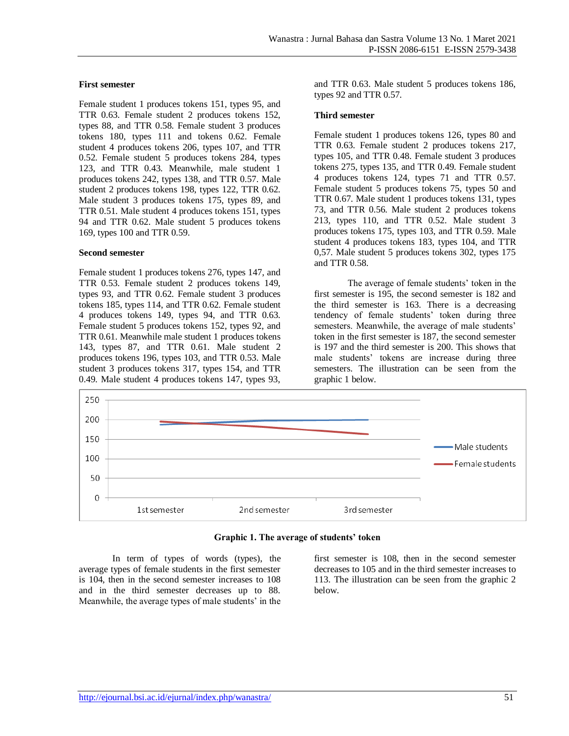#### **First semester**

Female student 1 produces tokens 151, types 95, and TTR 0.63. Female student 2 produces tokens 152, types 88, and TTR 0.58. Female student 3 produces tokens 180, types 111 and tokens 0.62. Female student 4 produces tokens 206, types 107, and TTR 0.52. Female student 5 produces tokens 284, types 123, and TTR 0.43. Meanwhile, male student 1 produces tokens 242, types 138, and TTR 0.57. Male student 2 produces tokens 198, types 122, TTR 0.62. Male student 3 produces tokens 175, types 89, and TTR 0.51. Male student 4 produces tokens 151, types 94 and TTR 0.62. Male student 5 produces tokens 169, types 100 and TTR 0.59.

#### **Second semester**

Female student 1 produces tokens 276, types 147, and TTR 0.53. Female student 2 produces tokens 149, types 93, and TTR 0.62. Female student 3 produces tokens 185, types 114, and TTR 0.62. Female student 4 produces tokens 149, types 94, and TTR 0.63. Female student 5 produces tokens 152, types 92, and TTR 0.61. Meanwhile male student 1 produces tokens 143, types 87, and TTR 0.61. Male student 2 produces tokens 196, types 103, and TTR 0.53. Male student 3 produces tokens 317, types 154, and TTR 0.49. Male student 4 produces tokens 147, types 93, and TTR 0.63. Male student 5 produces tokens 186, types 92 and TTR 0.57.

#### **Third semester**

Female student 1 produces tokens 126, types 80 and TTR 0.63. Female student 2 produces tokens 217, types 105, and TTR 0.48. Female student 3 produces tokens 275, types 135, and TTR 0.49. Female student 4 produces tokens 124, types 71 and TTR 0.57. Female student 5 produces tokens 75, types 50 and TTR 0.67. Male student 1 produces tokens 131, types 73, and TTR 0.56. Male student 2 produces tokens 213, types 110, and TTR 0.52. Male student 3 produces tokens 175, types 103, and TTR 0.59. Male student 4 produces tokens 183, types 104, and TTR 0,57. Male student 5 produces tokens 302, types 175 and TTR 0.58.

The average of female students' token in the first semester is 195, the second semester is 182 and the third semester is 163. There is a decreasing tendency of female students' token during three semesters. Meanwhile, the average of male students' token in the first semester is 187, the second semester is 197 and the third semester is 200. This shows that male students' tokens are increase during three semesters. The illustration can be seen from the graphic 1 below.



#### **Graphic 1. The average of students' token**

In term of types of words (types), the average types of female students in the first semester is 104, then in the second semester increases to 108 and in the third semester decreases up to 88. Meanwhile, the average types of male students' in the

first semester is 108, then in the second semester decreases to 105 and in the third semester increases to 113. The illustration can be seen from the graphic 2 below.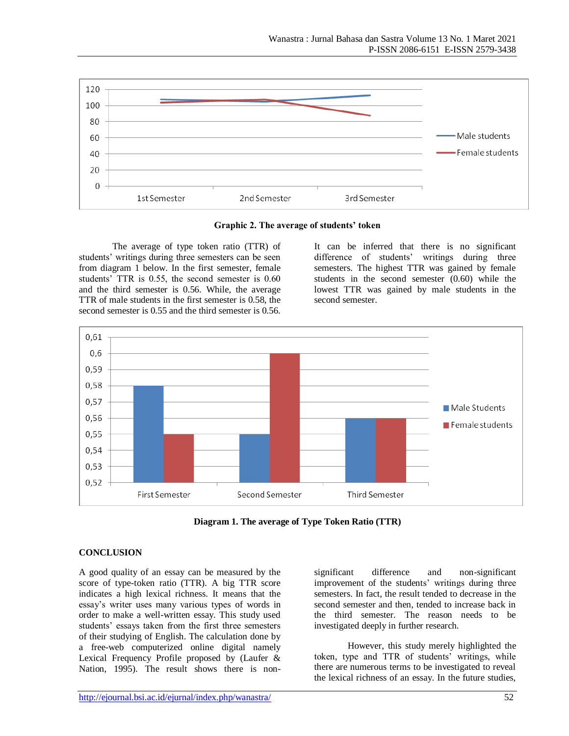

#### **Graphic 2. The average of students' token**

The average of type token ratio (TTR) of students' writings during three semesters can be seen from diagram 1 below. In the first semester, female students' TTR is 0.55, the second semester is 0.60 and the third semester is 0.56. While, the average TTR of male students in the first semester is 0.58, the second semester is 0.55 and the third semester is 0.56. It can be inferred that there is no significant difference of students' writings during three semesters. The highest TTR was gained by female students in the second semester (0.60) while the lowest TTR was gained by male students in the second semester.



**Diagram 1. The average of Type Token Ratio (TTR)**

# **CONCLUSION**

A good quality of an essay can be measured by the score of type-token ratio (TTR). A big TTR score indicates a high lexical richness. It means that the essay's writer uses many various types of words in order to make a well-written essay. This study used students' essays taken from the first three semesters of their studying of English. The calculation done by a free-web computerized online digital namely Lexical Frequency Profile proposed by (Laufer & Nation, 1995). The result shows there is nonsignificant difference and non-significant improvement of the students' writings during three semesters. In fact, the result tended to decrease in the second semester and then, tended to increase back in the third semester. The reason needs to be investigated deeply in further research.

However, this study merely highlighted the token, type and TTR of students' writings, while there are numerous terms to be investigated to reveal the lexical richness of an essay. In the future studies,